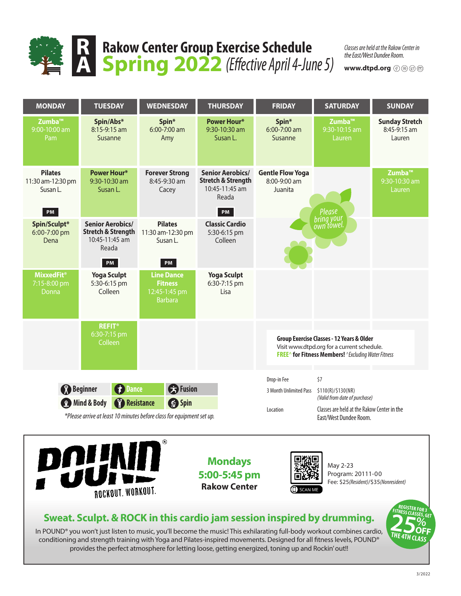

### **Rakow Center Group Exercise Schedule Spring 2022** *(Effective April 4-June 5)*

*Classes are held at the Rakow Center in the East/West Dundee Room.*

**www.dtpd.org**



conditioning and strength training with Yoga and Pilates-inspired movements. Designed for all fitness levels, POUND® provides the perfect atmosphere for letting loose, getting energized, toning up and Rockin' out!!